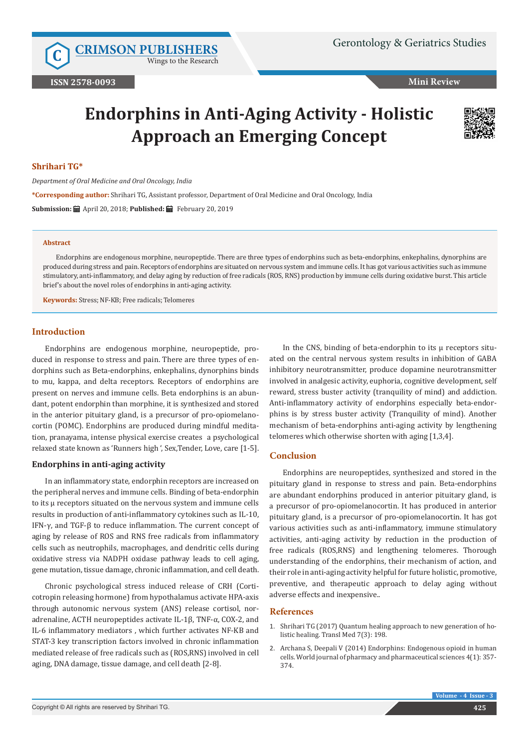**C [CRIMSON PUBLISHERS](http://crimsonpublishers.com/index.php)**

Wings to the Research

**Mini Review** 

# **Endorphins in Anti-Aging Activity - Holistic Approach an Emerging Concept**



#### **Shrihari TG\***

*Department of Oral Medicine and Oral Oncology, India*

**\*Corresponding author:** Shrihari TG, Assistant professor, Department of Oral Medicine and Oral Oncology, India

**Submission:** April 20, 2018; **Published:** February 20, 2019

#### **Abstract**

Endorphins are endogenous morphine, neuropeptide. There are three types of endorphins such as beta-endorphins, enkephalins, dynorphins are produced during stress and pain. Receptors of endorphins are situated on nervous system and immune cells. It has got various activities such as immune stimulatory, anti-inflammatory, and delay aging by reduction of free radicals (ROS, RNS) production by immune cells during oxidative burst. This article brief's about the novel roles of endorphins in anti-aging activity.

**Keywords:** Stress; NF-KB; Free radicals; Telomeres

# **Introduction**

Endorphins are endogenous morphine, neuropeptide, produced in response to stress and pain. There are three types of endorphins such as Beta-endorphins, enkephalins, dynorphins binds to mu, kappa, and delta receptors. Receptors of endorphins are present on nerves and immune cells. Beta endorphins is an abundant, potent endorphin than morphine, it is synthesized and stored in the anterior pituitary gland, is a precursor of pro-opiomelanocortin (POMC). Endorphins are produced during mindful meditation, pranayama, intense physical exercise creates a psychological relaxed state known as 'Runners high ', Sex,Tender, Love, care [1-5].

### **Endorphins in anti-aging activity**

In an inflammatory state, endorphin receptors are increased on the peripheral nerves and immune cells. Binding of beta-endorphin to its µ receptors situated on the nervous system and immune cells results in production of anti-inflammatory cytokines such as IL-10, IFN-γ, and TGF-β to reduce inflammation. The current concept of aging by release of ROS and RNS free radicals from inflammatory cells such as neutrophils, macrophages, and dendritic cells during oxidative stress via NADPH oxidase pathway leads to cell aging, gene mutation, tissue damage, chronic inflammation, and cell death.

Chronic psychological stress induced release of CRH (Corticotropin releasing hormone) from hypothalamus activate HPA-axis through autonomic nervous system (ANS) release cortisol, noradrenaline, ACTH neuropeptides activate IL-1β, TNF-α, COX-2, and IL-6 inflammatory mediators , which further activates NF-KB and STAT-3 key transcription factors involved in chronic inflammation mediated release of free radicals such as (ROS,RNS) involved in cell aging, DNA damage, tissue damage, and cell death [2-8].

In the CNS, binding of beta-endorphin to its  $\mu$  receptors situated on the central nervous system results in inhibition of GABA inhibitory neurotransmitter, produce dopamine neurotransmitter involved in analgesic activity, euphoria, cognitive development, self reward, stress buster activity (tranquility of mind) and addiction. Anti-inflammatory activity of endorphins especially beta-endorphins is by stress buster activity (Tranquility of mind). Another mechanism of beta-endorphins anti-aging activity by lengthening telomeres which otherwise shorten with aging [1,3,4].

# **Conclusion**

Endorphins are neuropeptides, synthesized and stored in the pituitary gland in response to stress and pain. Beta-endorphins are abundant endorphins produced in anterior pituitary gland, is a precursor of pro-opiomelanocortin. It has produced in anterior pituitary gland, is a precursor of pro-opiomelanocortin. It has got various activities such as anti-inflammatory, immune stimulatory activities, anti-aging activity by reduction in the production of free radicals (ROS,RNS) and lengthening telomeres. Thorough understanding of the endorphins, their mechanism of action, and their role in anti-aging activity helpful for future holistic, promotive, preventive, and therapeutic approach to delay aging without adverse effects and inexpensive..

#### **References**

- 1. [Shrihari TG \(2017\) Quantum healing approach to new generation of ho](https://www.omicsonline.org/open-access/quantum-healing-approach-to-new-generation-of-holistic-healing-2161-1025-1000198-96282.html)[listic healing. Transl Med 7\(3\): 198.](https://www.omicsonline.org/open-access/quantum-healing-approach-to-new-generation-of-holistic-healing-2161-1025-1000198-96282.html)
- 2. Archana S, Deepali V (2014) Endorphins: Endogenous opioid in human cells. World journal of pharmacy and pharmaceutical sciences 4(1): 357- 374.